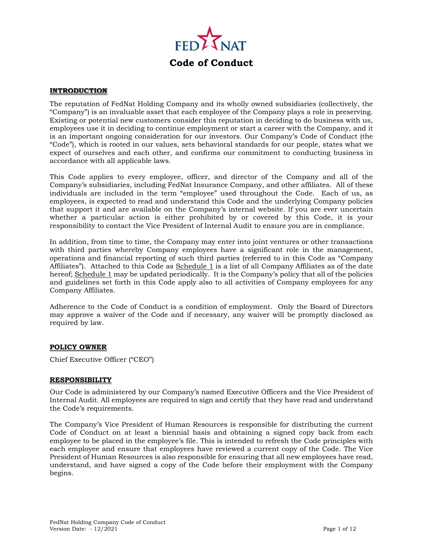

#### **INTRODUCTION**

The reputation of FedNat Holding Company and its wholly owned subsidiaries (collectively, the "Company") is an invaluable asset that each employee of the Company plays a role in preserving. Existing or potential new customers consider this reputation in deciding to do business with us, employees use it in deciding to continue employment or start a career with the Company, and it is an important ongoing consideration for our investors. Our Company's Code of Conduct (the "Code"), which is rooted in our values, sets behavioral standards for our people, states what we expect of ourselves and each other, and confirms our commitment to conducting business in accordance with all applicable laws.

This Code applies to every employee, officer, and director of the Company and all of the Company's subsidiaries, including FedNat Insurance Company, and other affiliates. All of these individuals are included in the term "employee" used throughout the Code. Each of us, as employees, is expected to read and understand this Code and the underlying Company policies that support it and are available on the Company's internal website. If you are ever uncertain whether a particular action is either prohibited by or covered by this Code, it is your responsibility to contact the Vice President of Internal Audit to ensure you are in compliance.

In addition, from time to time, the Company may enter into joint ventures or other transactions with third parties whereby Company employees have a significant role in the management, operations and financial reporting of such third parties (referred to in this Code as "Company Affiliates"). Attached to this Code as Schedule 1 is a list of all Company Affiliates as of the date hereof; Schedule 1 may be updated periodically. It is the Company's policy that all of the policies and guidelines set forth in this Code apply also to all activities of Company employees for any Company Affiliates.

Adherence to the Code of Conduct is a condition of employment. Only the Board of Directors may approve a waiver of the Code and if necessary, any waiver will be promptly disclosed as required by law.

#### **POLICY OWNER**

Chief Executive Officer ("CEO")

#### **RESPONSIBILITY**

Our Code is administered by our Company's named Executive Officers and the Vice President of Internal Audit. All employees are required to sign and certify that they have read and understand the Code's requirements.

The Company's Vice President of Human Resources is responsible for distributing the current Code of Conduct on at least a biennial basis and obtaining a signed copy back from each employee to be placed in the employee's file. This is intended to refresh the Code principles with each employee and ensure that employees have reviewed a current copy of the Code. The Vice President of Human Resources is also responsible for ensuring that all new employees have read, understand, and have signed a copy of the Code before their employment with the Company begins.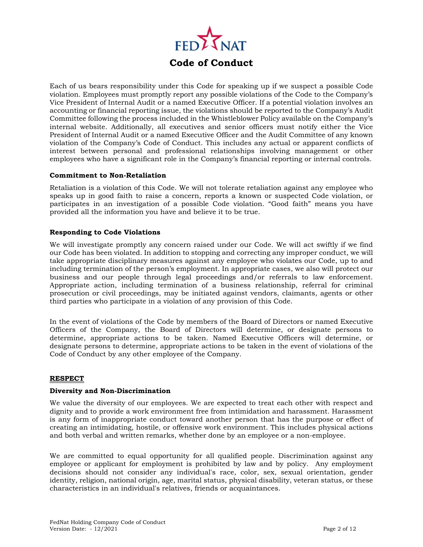

Each of us bears responsibility under this Code for speaking up if we suspect a possible Code violation. Employees must promptly report any possible violations of the Code to the Company's Vice President of Internal Audit or a named Executive Officer. If a potential violation involves an accounting or financial reporting issue, the violations should be reported to the Company's Audit Committee following the process included in the Whistleblower Policy available on the Company's internal website. Additionally, all executives and senior officers must notify either the Vice President of Internal Audit or a named Executive Officer and the Audit Committee of any known violation of the Company's Code of Conduct. This includes any actual or apparent conflicts of interest between personal and professional relationships involving management or other employees who have a significant role in the Company's financial reporting or internal controls.

#### **Commitment to Non-Retaliation**

Retaliation is a violation of this Code. We will not tolerate retaliation against any employee who speaks up in good faith to raise a concern, reports a known or suspected Code violation, or participates in an investigation of a possible Code violation. "Good faith" means you have provided all the information you have and believe it to be true.

#### **Responding to Code Violations**

We will investigate promptly any concern raised under our Code. We will act swiftly if we find our Code has been violated. In addition to stopping and correcting any improper conduct, we will take appropriate disciplinary measures against any employee who violates our Code, up to and including termination of the person's employment. In appropriate cases, we also will protect our business and our people through legal proceedings and/or referrals to law enforcement. Appropriate action, including termination of a business relationship, referral for criminal prosecution or civil proceedings, may be initiated against vendors, claimants, agents or other third parties who participate in a violation of any provision of this Code.

In the event of violations of the Code by members of the Board of Directors or named Executive Officers of the Company, the Board of Directors will determine, or designate persons to determine, appropriate actions to be taken. Named Executive Officers will determine, or designate persons to determine, appropriate actions to be taken in the event of violations of the Code of Conduct by any other employee of the Company.

#### **RESPECT**

#### **Diversity and Non-Discrimination**

We value the diversity of our employees. We are expected to treat each other with respect and dignity and to provide a work environment free from intimidation and harassment. Harassment is any form of inappropriate conduct toward another person that has the purpose or effect of creating an intimidating, hostile, or offensive work environment. This includes physical actions and both verbal and written remarks, whether done by an employee or a non-employee.

We are committed to equal opportunity for all qualified people. Discrimination against any employee or applicant for employment is prohibited by law and by policy. Any employment decisions should not consider any individual's race, color, sex, sexual orientation, gender identity, religion, national origin, age, marital status, physical disability, veteran status, or these characteristics in an individual's relatives, friends or acquaintances.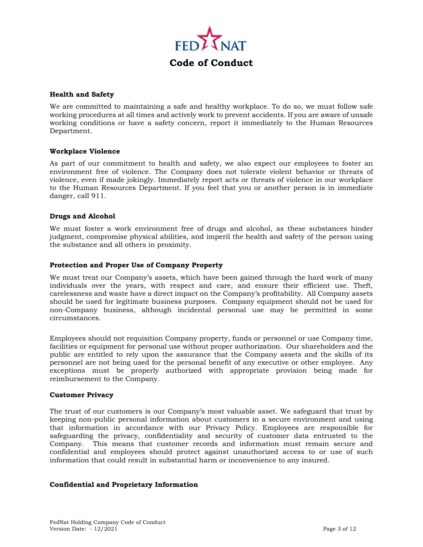

#### **Health and Safety**

We are committed to maintaining a safe and healthy workplace. To do so, we must follow safe working procedures at all times and actively work to prevent accidents. If you are aware of unsafe working conditions or have a safety concern, report it immediately to the Human Resources Department.

#### **Workplace Violence**

As part of our commitment to health and safety, we also expect our employees to foster an environment free of violence. The Company does not tolerate violent behavior or threats of violence, even if made jokingly. Immediately report acts or threats of violence in our workplace to the Human Resources Department. If you feel that you or another person is in immediate danger, call 911.

#### **Drugs and Alcohol**

We must foster a work environment free of drugs and alcohol, as these substances hinder judgment, compromise physical abilities, and imperil the health and safety of the person using the substance and all others in proximity.

#### **Protection and Proper Use of Company Property**

We must treat our Company's assets, which have been gained through the hard work of many individuals over the years, with respect and care, and ensure their efficient use. Theft, carelessness and waste have a direct impact on the Company's profitability. All Company assets should be used for legitimate business purposes. Company equipment should not be used for non-Company business, although incidental personal use may be permitted in some circumstances.

Employees should not requisition Company property, funds or personnel or use Company time, facilities or equipment for personal use without proper authorization. Our shareholders and the public are entitled to rely upon the assurance that the Company assets and the skills of its personnel are not being used for the personal benefit of any executive or other employee. Any exceptions must be properly authorized with appropriate provision being made for reimbursement to the Company.

#### **Customer Privacy**

The trust of our customers is our Company's most valuable asset. We safeguard that trust by keeping non-public personal information about customers in a secure environment and using that information in accordance with our Privacy Policy. Employees are responsible for safeguarding the privacy, confidentiality and security of customer data entrusted to the Company. This means that customer records and information must remain secure and confidential and employees should protect against unauthorized access to or use of such information that could result in substantial harm or inconvenience to any insured.

#### **Confidential and Proprietary Information**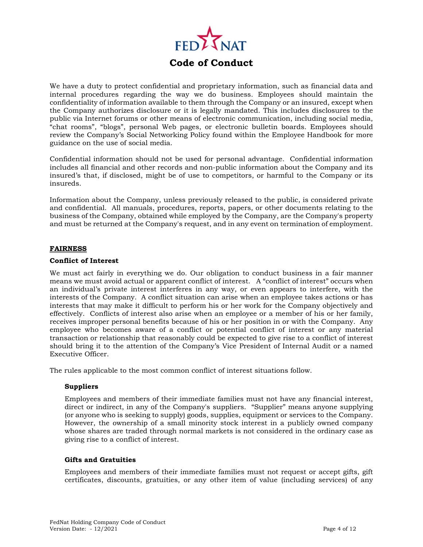

We have a duty to protect confidential and proprietary information, such as financial data and internal procedures regarding the way we do business. Employees should maintain the confidentiality of information available to them through the Company or an insured, except when the Company authorizes disclosure or it is legally mandated. This includes disclosures to the public via Internet forums or other means of electronic communication, including social media, "chat rooms", "blogs", personal Web pages, or electronic bulletin boards. Employees should review the Company's Social Networking Policy found within the Employee Handbook for more guidance on the use of social media.

Confidential information should not be used for personal advantage. Confidential information includes all financial and other records and non-public information about the Company and its insured's that, if disclosed, might be of use to competitors, or harmful to the Company or its insureds.

Information about the Company, unless previously released to the public, is considered private and confidential. All manuals, procedures, reports, papers, or other documents relating to the business of the Company, obtained while employed by the Company, are the Company's property and must be returned at the Company's request, and in any event on termination of employment.

#### **FAIRNESS**

#### **Conflict of Interest**

We must act fairly in everything we do. Our obligation to conduct business in a fair manner means we must avoid actual or apparent conflict of interest. A "conflict of interest" occurs when an individual's private interest interferes in any way, or even appears to interfere, with the interests of the Company. A conflict situation can arise when an employee takes actions or has interests that may make it difficult to perform his or her work for the Company objectively and effectively. Conflicts of interest also arise when an employee or a member of his or her family, receives improper personal benefits because of his or her position in or with the Company. Any employee who becomes aware of a conflict or potential conflict of interest or any material transaction or relationship that reasonably could be expected to give rise to a conflict of interest should bring it to the attention of the Company's Vice President of Internal Audit or a named Executive Officer.

The rules applicable to the most common conflict of interest situations follow.

#### **Suppliers**

Employees and members of their immediate families must not have any financial interest, direct or indirect, in any of the Company's suppliers. "Supplier" means anyone supplying (or anyone who is seeking to supply) goods, supplies, equipment or services to the Company. However, the ownership of a small minority stock interest in a publicly owned company whose shares are traded through normal markets is not considered in the ordinary case as giving rise to a conflict of interest.

#### **Gifts and Gratuities**

Employees and members of their immediate families must not request or accept gifts, gift certificates, discounts, gratuities, or any other item of value (including services) of any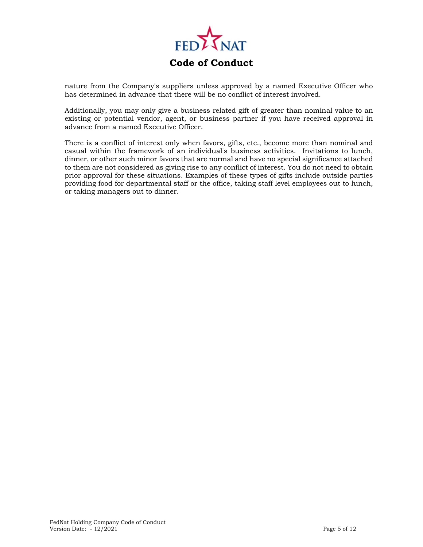

nature from the Company's suppliers unless approved by a named Executive Officer who has determined in advance that there will be no conflict of interest involved.

Additionally, you may only give a business related gift of greater than nominal value to an existing or potential vendor, agent, or business partner if you have received approval in advance from a named Executive Officer.

There is a conflict of interest only when favors, gifts, etc., become more than nominal and casual within the framework of an individual's business activities. Invitations to lunch, dinner, or other such minor favors that are normal and have no special significance attached to them are not considered as giving rise to any conflict of interest. You do not need to obtain prior approval for these situations. Examples of these types of gifts include outside parties providing food for departmental staff or the office, taking staff level employees out to lunch, or taking managers out to dinner.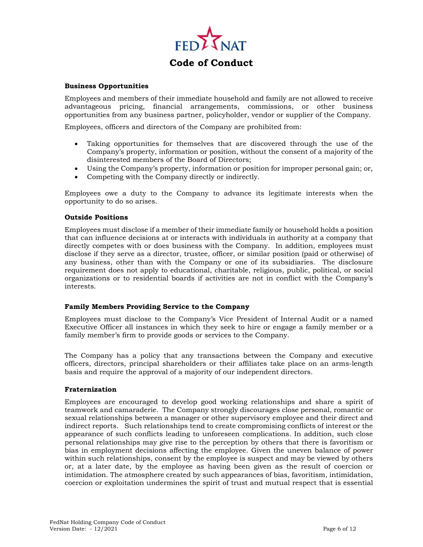

# **Code of Conduct**

#### **Business Opportunities**

Employees and members of their immediate household and family are not allowed to receive advantageous pricing, financial arrangements, commissions, or other business opportunities from any business partner, policyholder, vendor or supplier of the Company.

Employees, officers and directors of the Company are prohibited from:

- Taking opportunities for themselves that are discovered through the use of the Company's property, information or position, without the consent of a majority of the disinterested members of the Board of Directors;
- Using the Company's property, information or position for improper personal gain; or,
- Competing with the Company directly or indirectly.

Employees owe a duty to the Company to advance its legitimate interests when the opportunity to do so arises.

#### **Outside Positions**

Employees must disclose if a member of their immediate family or household holds a position that can influence decisions at or interacts with individuals in authority at a company that directly competes with or does business with the Company. In addition, employees must disclose if they serve as a director, trustee, officer, or similar position (paid or otherwise) of any business, other than with the Company or one of its subsidiaries. The disclosure requirement does not apply to educational, charitable, religious, public, political, or social organizations or to residential boards if activities are not in conflict with the Company's interests.

#### **Family Members Providing Service to the Company**

Employees must disclose to the Company's Vice President of Internal Audit or a named Executive Officer all instances in which they seek to hire or engage a family member or a family member's firm to provide goods or services to the Company.

The Company has a policy that any transactions between the Company and executive officers, directors, principal shareholders or their affiliates take place on an arms-length basis and require the approval of a majority of our independent directors.

#### **Fraternization**

Employees are encouraged to develop good working relationships and share a spirit of teamwork and camaraderie. The Company strongly discourages close personal, romantic or sexual relationships between a manager or other supervisory employee and their direct and indirect reports. Such relationships tend to create compromising conflicts of interest or the appearance of such conflicts leading to unforeseen complications. In addition, such close personal relationships may give rise to the perception by others that there is favoritism or bias in employment decisions affecting the employee. Given the uneven balance of power within such relationships, consent by the employee is suspect and may be viewed by others or, at a later date, by the employee as having been given as the result of coercion or intimidation. The atmosphere created by such appearances of bias, favoritism, intimidation, coercion or exploitation undermines the spirit of trust and mutual respect that is essential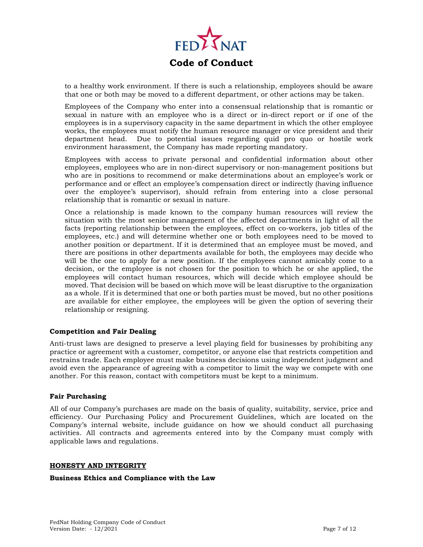

to a healthy work environment. If there is such a relationship, employees should be aware that one or both may be moved to a different department, or other actions may be taken.

Employees of the Company who enter into a consensual relationship that is romantic or sexual in nature with an employee who is a direct or in-direct report or if one of the employees is in a supervisory capacity in the same department in which the other employee works, the employees must notify the human resource manager or vice president and their department head. Due to potential issues regarding quid pro quo or hostile work environment harassment, the Company has made reporting mandatory.

Employees with access to private personal and confidential information about other employees, employees who are in non-direct supervisory or non-management positions but who are in positions to recommend or make determinations about an employee's work or performance and or effect an employee's compensation direct or indirectly (having influence over the employee's supervisor), should refrain from entering into a close personal relationship that is romantic or sexual in nature.

Once a relationship is made known to the company human resources will review the situation with the most senior management of the affected departments in light of all the facts (reporting relationship between the employees, effect on co-workers, job titles of the employees, etc.) and will determine whether one or both employees need to be moved to another position or department. If it is determined that an employee must be moved, and there are positions in other departments available for both, the employees may decide who will be the one to apply for a new position. If the employees cannot amicably come to a decision, or the employee is not chosen for the position to which he or she applied, the employees will contact human resources, which will decide which employee should be moved. That decision will be based on which move will be least disruptive to the organization as a whole. If it is determined that one or both parties must be moved, but no other positions are available for either employee, the employees will be given the option of severing their relationship or resigning.

#### **Competition and Fair Dealing**

Anti-trust laws are designed to preserve a level playing field for businesses by prohibiting any practice or agreement with a customer, competitor, or anyone else that restricts competition and restrains trade. Each employee must make business decisions using independent judgment and avoid even the appearance of agreeing with a competitor to limit the way we compete with one another. For this reason, contact with competitors must be kept to a minimum.

#### **Fair Purchasing**

All of our Company's purchases are made on the basis of quality, suitability, service, price and efficiency. Our Purchasing Policy and Procurement Guidelines, which are located on the Company's internal website, include guidance on how we should conduct all purchasing activities. All contracts and agreements entered into by the Company must comply with applicable laws and regulations.

#### **HONESTY AND INTEGRITY**

#### **Business Ethics and Compliance with the Law**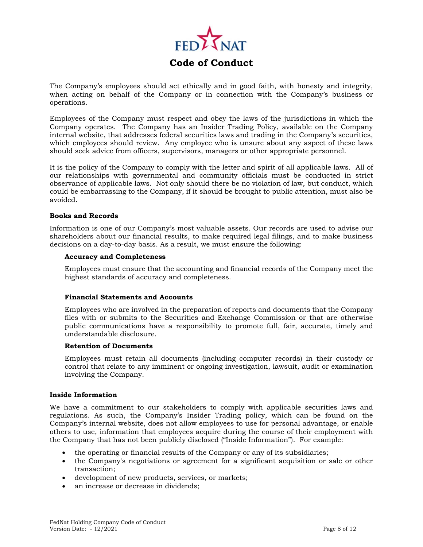

The Company's employees should act ethically and in good faith, with honesty and integrity, when acting on behalf of the Company or in connection with the Company's business or operations.

Employees of the Company must respect and obey the laws of the jurisdictions in which the Company operates. The Company has an Insider Trading Policy, available on the Company internal website, that addresses federal securities laws and trading in the Company's securities, which employees should review. Any employee who is unsure about any aspect of these laws should seek advice from officers, supervisors, managers or other appropriate personnel.

It is the policy of the Company to comply with the letter and spirit of all applicable laws. All of our relationships with governmental and community officials must be conducted in strict observance of applicable laws. Not only should there be no violation of law, but conduct, which could be embarrassing to the Company, if it should be brought to public attention, must also be avoided.

#### **Books and Records**

Information is one of our Company's most valuable assets. Our records are used to advise our shareholders about our financial results, to make required legal filings, and to make business decisions on a day-to-day basis. As a result, we must ensure the following:

#### **Accuracy and Completeness**

Employees must ensure that the accounting and financial records of the Company meet the highest standards of accuracy and completeness.

#### **Financial Statements and Accounts**

Employees who are involved in the preparation of reports and documents that the Company files with or submits to the Securities and Exchange Commission or that are otherwise public communications have a responsibility to promote full, fair, accurate, timely and understandable disclosure.

#### **Retention of Documents**

Employees must retain all documents (including computer records) in their custody or control that relate to any imminent or ongoing investigation, lawsuit, audit or examination involving the Company.

#### **Inside Information**

We have a commitment to our stakeholders to comply with applicable securities laws and regulations. As such, the Company's Insider Trading policy, which can be found on the Company's internal website, does not allow employees to use for personal advantage, or enable others to use, information that employees acquire during the course of their employment with the Company that has not been publicly disclosed ("Inside Information"). For example:

- the operating or financial results of the Company or any of its subsidiaries;
- the Company's negotiations or agreement for a significant acquisition or sale or other transaction;
- development of new products, services, or markets;
- an increase or decrease in dividends;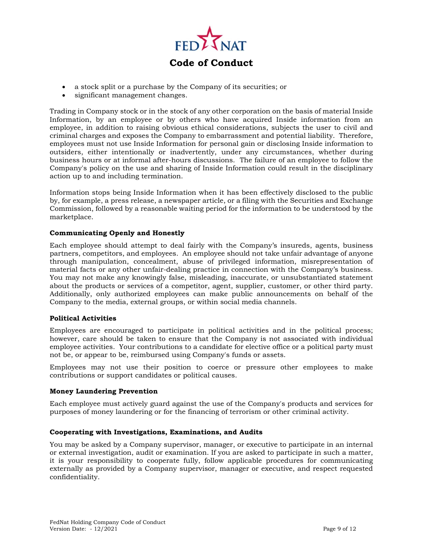

- a stock split or a purchase by the Company of its securities; or
- significant management changes.

Trading in Company stock or in the stock of any other corporation on the basis of material Inside Information, by an employee or by others who have acquired Inside information from an employee, in addition to raising obvious ethical considerations, subjects the user to civil and criminal charges and exposes the Company to embarrassment and potential liability. Therefore, employees must not use Inside Information for personal gain or disclosing Inside information to outsiders, either intentionally or inadvertently, under any circumstances, whether during business hours or at informal after-hours discussions. The failure of an employee to follow the Company's policy on the use and sharing of Inside Information could result in the disciplinary action up to and including termination.

Information stops being Inside Information when it has been effectively disclosed to the public by, for example, a press release, a newspaper article, or a filing with the Securities and Exchange Commission, followed by a reasonable waiting period for the information to be understood by the marketplace.

#### **Communicating Openly and Honestly**

Each employee should attempt to deal fairly with the Company's insureds, agents, business partners, competitors, and employees. An employee should not take unfair advantage of anyone through manipulation, concealment, abuse of privileged information, misrepresentation of material facts or any other unfair-dealing practice in connection with the Company's business. You may not make any knowingly false, misleading, inaccurate, or unsubstantiated statement about the products or services of a competitor, agent, supplier, customer, or other third party. Additionally, only authorized employees can make public announcements on behalf of the Company to the media, external groups, or within social media channels.

#### **Political Activities**

Employees are encouraged to participate in political activities and in the political process; however, care should be taken to ensure that the Company is not associated with individual employee activities. Your contributions to a candidate for elective office or a political party must not be, or appear to be, reimbursed using Company's funds or assets.

Employees may not use their position to coerce or pressure other employees to make contributions or support candidates or political causes.

#### **Money Laundering Prevention**

Each employee must actively guard against the use of the Company's products and services for purposes of money laundering or for the financing of terrorism or other criminal activity.

#### **Cooperating with Investigations, Examinations, and Audits**

You may be asked by a Company supervisor, manager, or executive to participate in an internal or external investigation, audit or examination. If you are asked to participate in such a matter, it is your responsibility to cooperate fully, follow applicable procedures for communicating externally as provided by a Company supervisor, manager or executive, and respect requested confidentiality.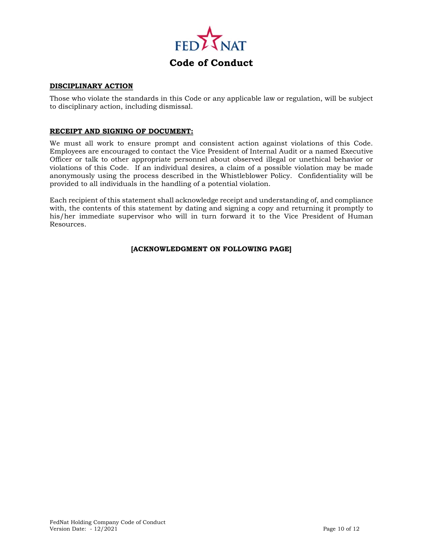

#### **DISCIPLINARY ACTION**

Those who violate the standards in this Code or any applicable law or regulation, will be subject to disciplinary action, including dismissal.

#### **RECEIPT AND SIGNING OF DOCUMENT:**

We must all work to ensure prompt and consistent action against violations of this Code. Employees are encouraged to contact the Vice President of Internal Audit or a named Executive Officer or talk to other appropriate personnel about observed illegal or unethical behavior or violations of this Code. If an individual desires, a claim of a possible violation may be made anonymously using the process described in the Whistleblower Policy. Confidentiality will be provided to all individuals in the handling of a potential violation.

Each recipient of this statement shall acknowledge receipt and understanding of, and compliance with, the contents of this statement by dating and signing a copy and returning it promptly to his/her immediate supervisor who will in turn forward it to the Vice President of Human Resources.

#### **[ACKNOWLEDGMENT ON FOLLOWING PAGE]**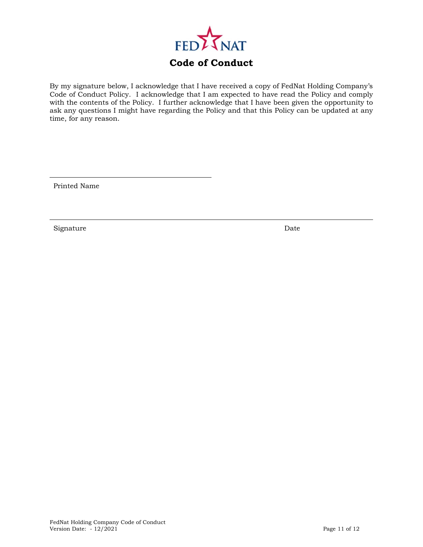

By my signature below, I acknowledge that I have received a copy of FedNat Holding Company's Code of Conduct Policy. I acknowledge that I am expected to have read the Policy and comply with the contents of the Policy. I further acknowledge that I have been given the opportunity to ask any questions I might have regarding the Policy and that this Policy can be updated at any time, for any reason.

Printed Name

Signature Date